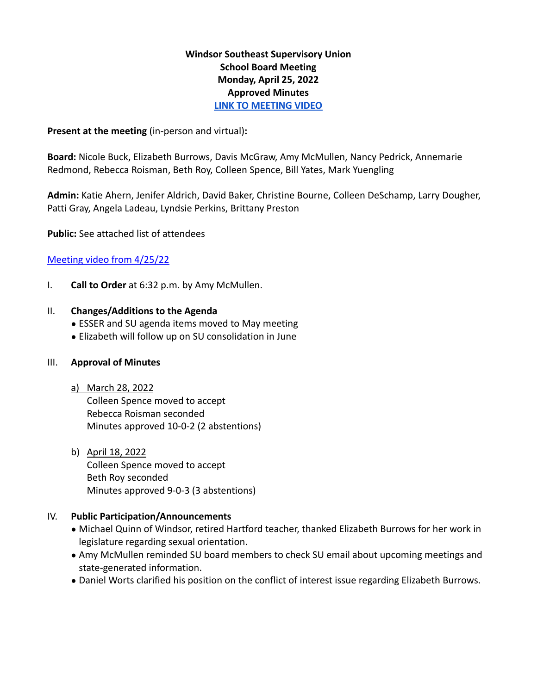## **Windsor Southeast Supervisory Union School Board Meeting Monday, April 25, 2022 Approved Minutes [LINK TO MEETING VIDEO](https://www.youtube.com/watch?v=X0QFERJokh8&t=3s)**

### **Present at the meeting** (in-person and virtual)**:**

**Board:** Nicole Buck, Elizabeth Burrows, Davis McGraw, Amy McMullen, Nancy Pedrick, Annemarie Redmond, Rebecca Roisman, Beth Roy, Colleen Spence, Bill Yates, Mark Yuengling

**Admin:** Katie Ahern, Jenifer Aldrich, David Baker, Christine Bourne, Colleen DeSchamp, Larry Dougher, Patti Gray, Angela Ladeau, Lyndsie Perkins, Brittany Preston

**Public:** See attached list of attendees

### [Meeting video from 4/25/22](https://www.youtube.com/watch?v=X0QFERJokh8)

I. **Call to Order** at 6:32 p.m. by Amy McMullen.

#### II. **Changes/Additions to the Agenda**

- ESSER and SU agenda items moved to May meeting
- Elizabeth will follow up on SU consolidation in June

#### III. **Approval of Minutes**

a) March 28, 2022

Colleen Spence moved to accept Rebecca Roisman seconded Minutes approved 10-0-2 (2 abstentions)

b) April 18, 2022 Colleen Spence moved to accept Beth Roy seconded Minutes approved 9-0-3 (3 abstentions)

### IV. **Public Participation/Announcements**

- Michael Quinn of Windsor, retired Hartford teacher, thanked Elizabeth Burrows for her work in legislature regarding sexual orientation.
- Amy McMullen reminded SU board members to check SU email about upcoming meetings and state-generated information.
- Daniel Worts clarified his position on the conflict of interest issue regarding Elizabeth Burrows.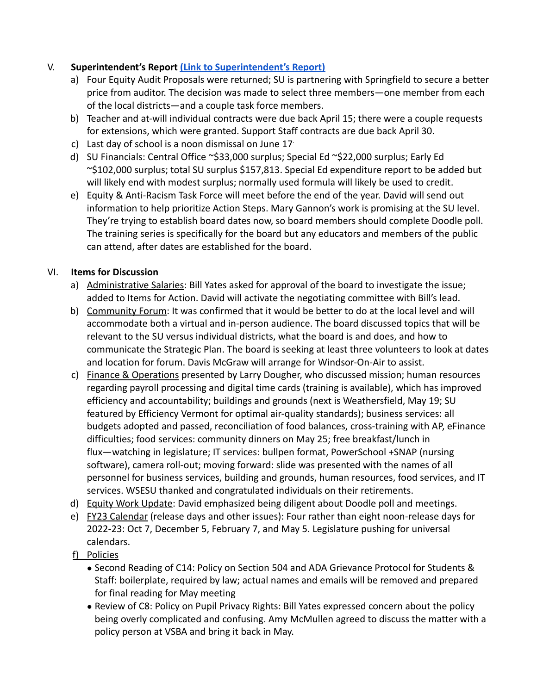# V. **Superintendent's Report [\(Link to Superintendent's](https://drive.google.com/file/d/1kOHTfZMaoka4lNlPDmRVNKlCLA-Wpvdp/view?usp=sharing) Report)**

- a) Four Equity Audit Proposals were returned; SU is partnering with Springfield to secure a better price from auditor. The decision was made to select three members—one member from each of the local districts—and a couple task force members.
- b) Teacher and at-will individual contracts were due back April 15; there were a couple requests for extensions, which were granted. Support Staff contracts are due back April 30.
- c) Last day of school is a noon dismissal on June 17.
- d) SU Financials: Central Office ~\$33,000 surplus; Special Ed ~\$22,000 surplus; Early Ed ~\$102,000 surplus; total SU surplus \$157,813. Special Ed expenditure report to be added but will likely end with modest surplus; normally used formula will likely be used to credit.
- e) Equity & Anti-Racism Task Force will meet before the end of the year. David will send out information to help prioritize Action Steps. Mary Gannon's work is promising at the SU level. They're trying to establish board dates now, so board members should complete Doodle poll. The training series is specifically for the board but any educators and members of the public can attend, after dates are established for the board.

# VI. **Items for Discussion**

- a) Administrative Salaries: Bill Yates asked for approval of the board to investigate the issue; added to Items for Action. David will activate the negotiating committee with Bill's lead.
- b) Community Forum: It was confirmed that it would be better to do at the local level and will accommodate both a virtual and in-person audience. The board discussed topics that will be relevant to the SU versus individual districts, what the board is and does, and how to communicate the Strategic Plan. The board is seeking at least three volunteers to look at dates and location for forum. Davis McGraw will arrange for Windsor-On-Air to assist.
- c) Finance & Operations presented by Larry Dougher, who discussed mission; human resources regarding payroll processing and digital time cards (training is available), which has improved efficiency and accountability; buildings and grounds (next is Weathersfield, May 19; SU featured by Efficiency Vermont for optimal air-quality standards); business services: all budgets adopted and passed, reconciliation of food balances, cross-training with AP, eFinance difficulties; food services: community dinners on May 25; free breakfast/lunch in flux—watching in legislature; IT services: bullpen format, PowerSchool +SNAP (nursing software), camera roll-out; moving forward: slide was presented with the names of all personnel for business services, building and grounds, human resources, food services, and IT services. WSESU thanked and congratulated individuals on their retirements.
- d) Equity Work Update: David emphasized being diligent about Doodle poll and meetings.
- e) FY23 Calendar (release days and other issues): Four rather than eight noon-release days for 2022-23: Oct 7, December 5, February 7, and May 5. Legislature pushing for universal calendars.
- f) Policies
	- Second Reading of C14: Policy on Section 504 and ADA Grievance Protocol for Students & Staff: boilerplate, required by law; actual names and emails will be removed and prepared for final reading for May meeting
	- Review of C8: Policy on Pupil Privacy Rights: Bill Yates expressed concern about the policy being overly complicated and confusing. Amy McMullen agreed to discuss the matter with a policy person at VSBA and bring it back in May.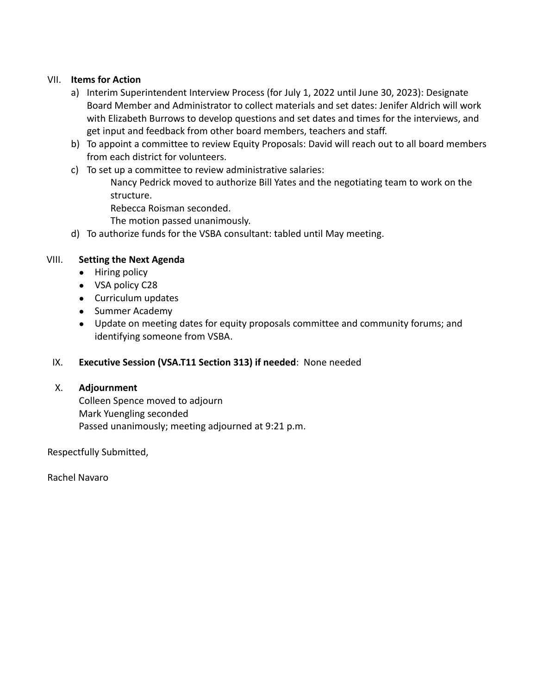### VII. **Items for Action**

- a) Interim Superintendent Interview Process (for July 1, 2022 until June 30, 2023): Designate Board Member and Administrator to collect materials and set dates: Jenifer Aldrich will work with Elizabeth Burrows to develop questions and set dates and times for the interviews, and get input and feedback from other board members, teachers and staff.
- b) To appoint a committee to review Equity Proposals: David will reach out to all board members from each district for volunteers.
- c) To set up a committee to review administrative salaries:
	- Nancy Pedrick moved to authorize Bill Yates and the negotiating team to work on the structure.
	- Rebecca Roisman seconded.
	- The motion passed unanimously.
- d) To authorize funds for the VSBA consultant: tabled until May meeting.

### VIII. **Setting the Next Agenda**

- Hiring policy
- VSA policy C28
- Curriculum updates
- Summer Academy
- Update on meeting dates for equity proposals committee and community forums; and identifying someone from VSBA.

### IX. **Executive Session (VSA.T11 Section 313) if needed**: None needed

### X. **Adjournment**

Colleen Spence moved to adjourn Mark Yuengling seconded Passed unanimously; meeting adjourned at 9:21 p.m.

Respectfully Submitted,

Rachel Navaro